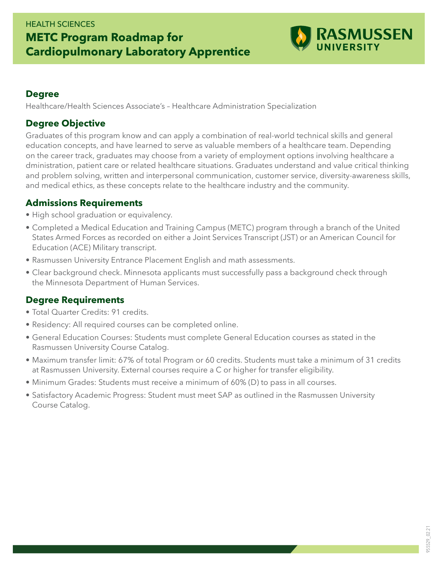### HEALTH SCIENCES **METC Program Roadmap for Cardiopulmonary Laboratory Apprentice**



#### **Degree**

Healthcare/Health Sciences Associate's – Healthcare Administration Specialization

#### **Degree Objective**

Graduates of this program know and can apply a combination of real-world technical skills and general education concepts, and have learned to serve as valuable members of a healthcare team. Depending on the career track, graduates may choose from a variety of employment options involving healthcare a dministration, patient care or related healthcare situations. Graduates understand and value critical thinking and problem solving, written and interpersonal communication, customer service, diversity-awareness skills, and medical ethics, as these concepts relate to the healthcare industry and the community.

#### **Admissions Requirements**

- High school graduation or equivalency.
- Completed a Medical Education and Training Campus (METC) program through a branch of the United States Armed Forces as recorded on either a Joint Services Transcript (JST) or an American Council for Education (ACE) Military transcript.
- Rasmussen University Entrance Placement English and math assessments.
- Clear background check. Minnesota applicants must successfully pass a background check through the Minnesota Department of Human Services.

### **Degree Requirements**

- Total Quarter Credits: 91 credits.
- Residency: All required courses can be completed online.
- General Education Courses: Students must complete General Education courses as stated in the Rasmussen University Course Catalog.
- Maximum transfer limit: 67% of total Program or 60 credits. Students must take a minimum of 31 credits at Rasmussen University. External courses require a C or higher for transfer eligibility.
- Minimum Grades: Students must receive a minimum of 60% (D) to pass in all courses.
- Satisfactory Academic Progress: Student must meet SAP as outlined in the Rasmussen University Course Catalog.